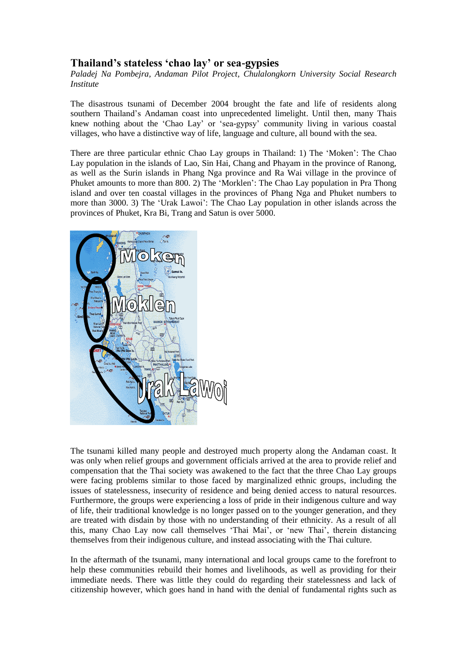## **Thailand's stateless 'chao lay' or sea-gypsies**

*Paladej Na Pombejra, Andaman Pilot Project, Chulalongkorn University Social Research Institute*

The disastrous tsunami of December 2004 brought the fate and life of residents along southern Thailand's Andaman coast into unprecedented limelight. Until then, many Thais knew nothing about the 'Chao Lay' or 'sea-gypsy' community living in various coastal villages, who have a distinctive way of life, language and culture, all bound with the sea.

There are three particular ethnic Chao Lay groups in Thailand: 1) The 'Moken': The Chao Lay population in the islands of Lao, Sin Hai, Chang and Phayam in the province of Ranong, as well as the Surin islands in Phang Nga province and Ra Wai village in the province of Phuket amounts to more than 800. 2) The 'Morklen': The Chao Lay population in Pra Thong island and over ten coastal villages in the provinces of Phang Nga and Phuket numbers to more than 3000. 3) The 'Urak Lawoi': The Chao Lay population in other islands across the provinces of Phuket, Kra Bi, Trang and Satun is over 5000.



The tsunami killed many people and destroyed much property along the Andaman coast. It was only when relief groups and government officials arrived at the area to provide relief and compensation that the Thai society was awakened to the fact that the three Chao Lay groups were facing problems similar to those faced by marginalized ethnic groups, including the issues of statelessness, insecurity of residence and being denied access to natural resources. Furthermore, the groups were experiencing a loss of pride in their indigenous culture and way of life, their traditional knowledge is no longer passed on to the younger generation, and they are treated with disdain by those with no understanding of their ethnicity. As a result of all this, many Chao Lay now call themselves 'Thai Mai', or 'new Thai', therein distancing themselves from their indigenous culture, and instead associating with the Thai culture.

In the aftermath of the tsunami, many international and local groups came to the forefront to help these communities rebuild their homes and livelihoods, as well as providing for their immediate needs. There was little they could do regarding their statelessness and lack of citizenship however, which goes hand in hand with the denial of fundamental rights such as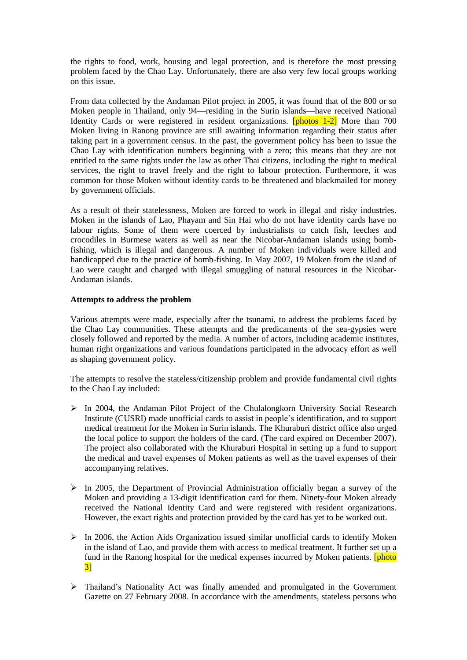the rights to food, work, housing and legal protection, and is therefore the most pressing problem faced by the Chao Lay. Unfortunately, there are also very few local groups working on this issue.

From data collected by the Andaman Pilot project in 2005, it was found that of the 800 or so Moken people in Thailand, only 94—residing in the Surin islands—have received National Identity Cards or were registered in resident organizations. **[photos 1-2]** More than 700 Moken living in Ranong province are still awaiting information regarding their status after taking part in a government census. In the past, the government policy has been to issue the Chao Lay with identification numbers beginning with a zero; this means that they are not entitled to the same rights under the law as other Thai citizens, including the right to medical services, the right to travel freely and the right to labour protection. Furthermore, it was common for those Moken without identity cards to be threatened and blackmailed for money by government officials.

As a result of their statelessness, Moken are forced to work in illegal and risky industries. Moken in the islands of Lao, Phayam and Sin Hai who do not have identity cards have no labour rights. Some of them were coerced by industrialists to catch fish, leeches and crocodiles in Burmese waters as well as near the Nicobar-Andaman islands using bombfishing, which is illegal and dangerous. A number of Moken individuals were killed and handicapped due to the practice of bomb-fishing. In May 2007, 19 Moken from the island of Lao were caught and charged with illegal smuggling of natural resources in the Nicobar-Andaman islands.

## **Attempts to address the problem**

Various attempts were made, especially after the tsunami, to address the problems faced by the Chao Lay communities. These attempts and the predicaments of the sea-gypsies were closely followed and reported by the media. A number of actors, including academic institutes, human right organizations and various foundations participated in the advocacy effort as well as shaping government policy.

The attempts to resolve the stateless/citizenship problem and provide fundamental civil rights to the Chao Lay included:

- $\triangleright$  In 2004, the Andaman Pilot Project of the Chulalongkorn University Social Research Institute (CUSRI) made unofficial cards to assist in people's identification, and to support medical treatment for the Moken in Surin islands. The Khuraburi district office also urged the local police to support the holders of the card. (The card expired on December 2007). The project also collaborated with the Khuraburi Hospital in setting up a fund to support the medical and travel expenses of Moken patients as well as the travel expenses of their accompanying relatives.
- $\triangleright$  In 2005, the Department of Provincial Administration officially began a survey of the Moken and providing a 13-digit identification card for them. Ninety-four Moken already received the National Identity Card and were registered with resident organizations. However, the exact rights and protection provided by the card has yet to be worked out.
- $\triangleright$  In 2006, the Action Aids Organization issued similar unofficial cards to identify Moken in the island of Lao, and provide them with access to medical treatment. It further set up a fund in the Ranong hospital for the medical expenses incurred by Moken patients. **[photo**] 3]
- Thailand's Nationality Act was finally amended and promulgated in the Government Gazette on 27 February 2008. In accordance with the amendments, stateless persons who